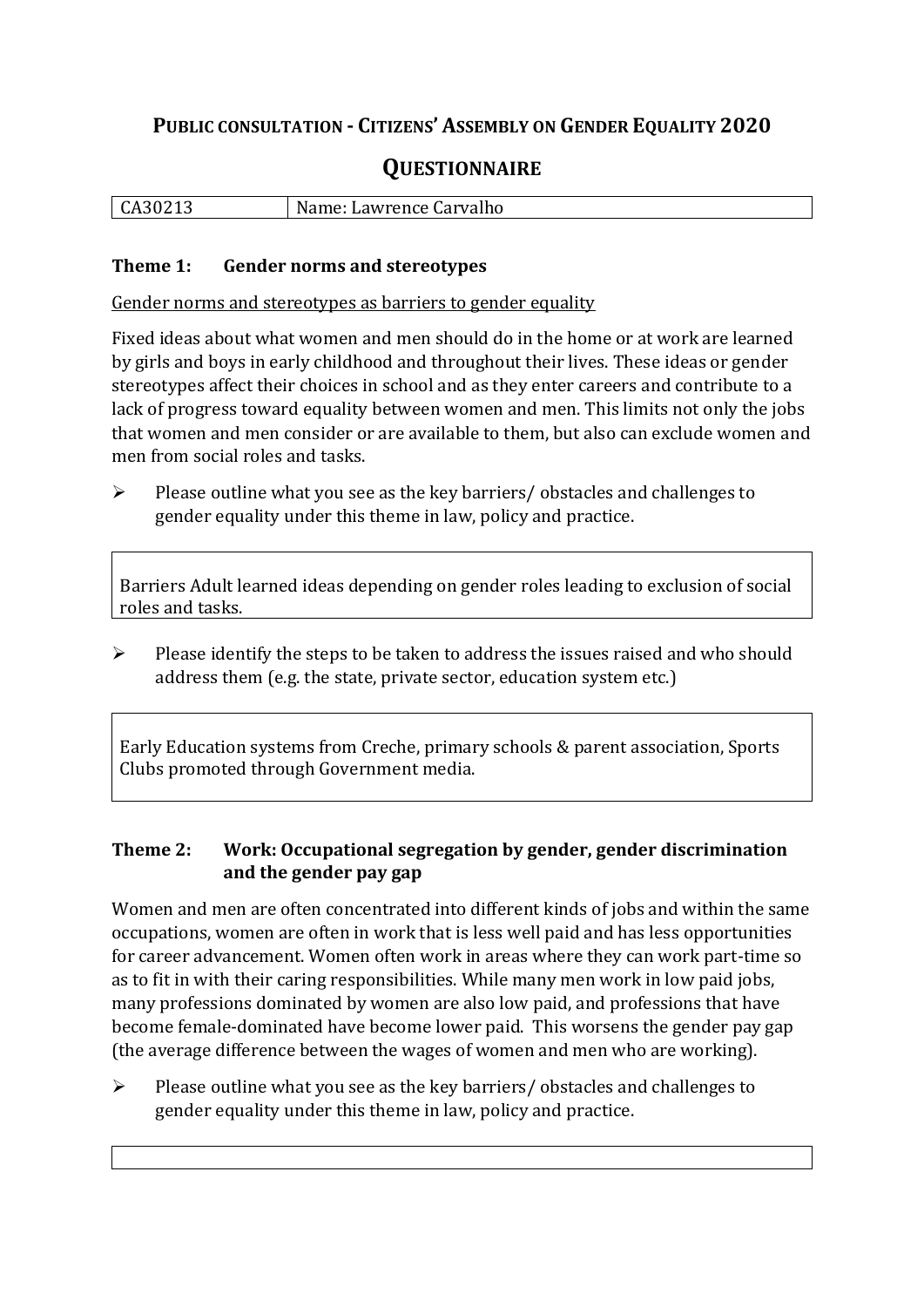## **PUBLIC CONSULTATION - CITIZENS' ASSEMBLY ON GENDER EQUALITY 2020**

# **QUESTIONNAIRE**

| CA30213 | Name: Lawrence Carvalho |
|---------|-------------------------|
|         |                         |

#### **Theme 1: Gender norms and stereotypes**

Gender norms and stereotypes as barriers to gender equality

Fixed ideas about what women and men should do in the home or at work are learned by girls and boys in early childhood and throughout their lives. These ideas or gender stereotypes affect their choices in school and as they enter careers and contribute to a lack of progress toward equality between women and men. This limits not only the jobs that women and men consider or are available to them, but also can exclude women and men from social roles and tasks.

➢ Please outline what you see as the key barriers/ obstacles and challenges to gender equality under this theme in law, policy and practice.

Barriers Adult learned ideas depending on gender roles leading to exclusion of social roles and tasks.

➢ Please identify the steps to be taken to address the issues raised and who should address them (e.g. the state, private sector, education system etc.)

Early Education systems from Creche, primary schools & parent association, Sports Clubs promoted through Government media.

### **Theme 2: Work: Occupational segregation by gender, gender discrimination and the gender pay gap**

Women and men are often concentrated into different kinds of jobs and within the same occupations, women are often in work that is less well paid and has less opportunities for career advancement. Women often work in areas where they can work part-time so as to fit in with their caring responsibilities. While many men work in low paid jobs, many professions dominated by women are also low paid, and professions that have become female-dominated have become lower paid. This worsens the gender pay gap (the average difference between the wages of women and men who are working).

➢ Please outline what you see as the key barriers/ obstacles and challenges to gender equality under this theme in law, policy and practice.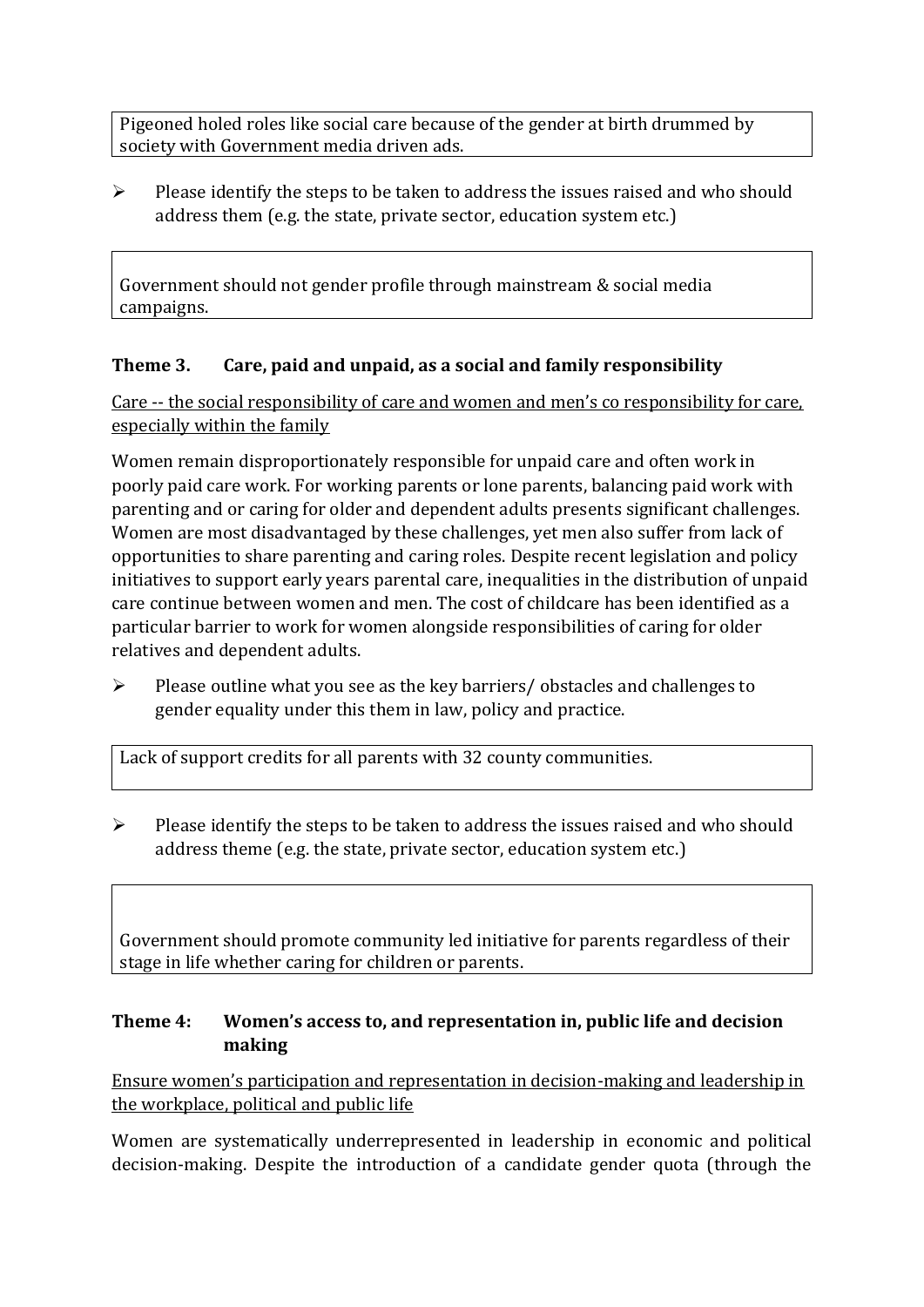Pigeoned holed roles like social care because of the gender at birth drummed by society with Government media driven ads.

➢ Please identify the steps to be taken to address the issues raised and who should address them (e.g. the state, private sector, education system etc.)

Government should not gender profile through mainstream & social media campaigns.

## **Theme 3. Care, paid and unpaid, as a social and family responsibility**

Care -- the social responsibility of care and women and men's co responsibility for care, especially within the family

Women remain disproportionately responsible for unpaid care and often work in poorly paid care work. For working parents or [lone parents,](https://aran.library.nuigalway.ie/bitstream/handle/10379/6044/Millar_and_Crosse_Activation_Report.pdf?sequence=1&isAllowed=y) balancing paid work with parenting and or caring for older and dependent adults presents significant challenges. Women are [most disadvantaged by these challenges,](https://eige.europa.eu/gender-equality-index/game/IE/W) yet men also suffer from lack of opportunities to share parenting and caring roles. Despite recent legislation and policy initiatives to support early years parental care, [inequalities in the distribution of unpaid](https://www.ihrec.ie/app/uploads/2019/07/Caring-and-Unpaid-Work-in-Ireland_Final.pdf)  [care](https://www.ihrec.ie/app/uploads/2019/07/Caring-and-Unpaid-Work-in-Ireland_Final.pdf) continue between women and men. The cost of childcare has been identified as a particular barrier to work for women alongside responsibilities of caring for older relatives and dependent adults.

➢ Please outline what you see as the key barriers/ obstacles and challenges to gender equality under this them in law, policy and practice.

Lack of support credits for all parents with 32 county communities.

 $\triangleright$  Please identify the steps to be taken to address the issues raised and who should address theme (e.g. the state, private sector, education system etc.)

Government should promote community led initiative for parents regardless of their stage in life whether caring for children or parents.

### **Theme 4: Women's access to, and representation in, public life and decision making**

Ensure women's participation and representation in decision-making and leadership in the workplace, political and public life

Women are systematically underrepresented in leadership in [economic](https://eige.europa.eu/gender-equality-index/2019/compare-countries/power/2/bar) and [political](https://eige.europa.eu/gender-equality-index/2019/compare-countries/power/1/bar)  [decision-](https://eige.europa.eu/gender-equality-index/2019/compare-countries/power/1/bar)making. Despite the introduction of a candidate gender quota (through the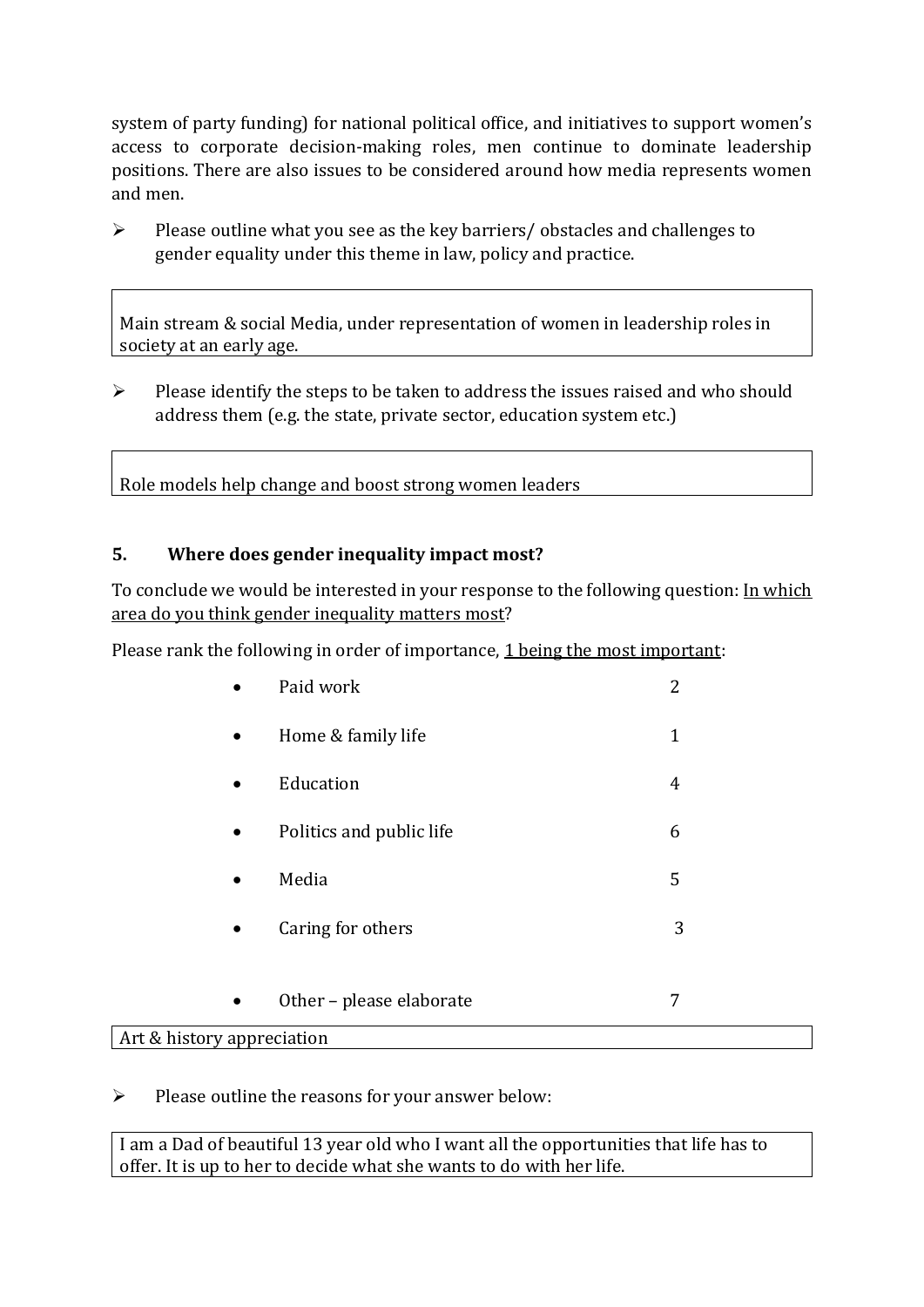system of party funding) for national political office, and [initiatives](https://betterbalance.ie/) to support women's access to corporate decision-making roles, men continue to dominate leadership positions. There are also issues to be considered around how media represents women and men.

➢ Please outline what you see as the key barriers/ obstacles and challenges to gender equality under this theme in law, policy and practice.

Main stream & social Media, under representation of women in leadership roles in society at an early age.

➢ Please identify the steps to be taken to address the issues raised and who should address them (e.g. the state, private sector, education system etc.)

Role models help change and boost strong women leaders

### **5. Where does gender inequality impact most?**

To conclude we would be interested in your response to the following question: In which area do you think gender inequality matters most?

Please rank the following in order of importance, 1 being the most important:

|                            | Paid work                | 2            |
|----------------------------|--------------------------|--------------|
| $\bullet$                  | Home & family life       | $\mathbf{1}$ |
| $\bullet$                  | Education                | 4            |
| $\bullet$                  | Politics and public life | 6            |
| $\bullet$                  | Media                    | 5            |
| $\bullet$                  | Caring for others        | 3            |
|                            |                          |              |
| $\bullet$                  | Other - please elaborate | 7            |
| Art & history appreciation |                          |              |

 $\triangleright$  Please outline the reasons for your answer below:

I am a Dad of beautiful 13 year old who I want all the opportunities that life has to offer. It is up to her to decide what she wants to do with her life.